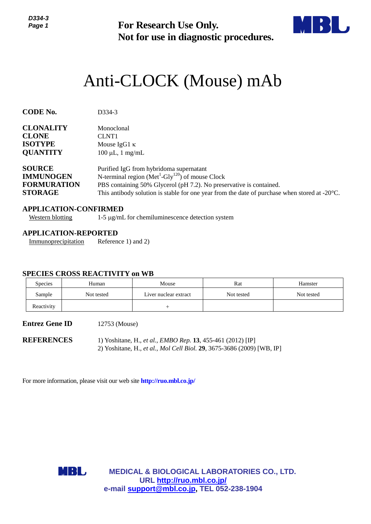

# Anti-CLOCK (Mouse) mAb

| נ-+נטע<br>Page 1                                                          |                                                                              | <b>For Research Use Only.</b><br>Not for use in diagnostic procedures.                                                                                                                                                                                                          |            |            |  |
|---------------------------------------------------------------------------|------------------------------------------------------------------------------|---------------------------------------------------------------------------------------------------------------------------------------------------------------------------------------------------------------------------------------------------------------------------------|------------|------------|--|
|                                                                           |                                                                              | Anti-CLOCK (Mouse) mAb                                                                                                                                                                                                                                                          |            |            |  |
| <b>CODE No.</b>                                                           | D334-3                                                                       |                                                                                                                                                                                                                                                                                 |            |            |  |
| <b>CLONALITY</b><br><b>CLONE</b><br><b>ISOTYPE</b><br><b>QUANTITY</b>     | Monoclonal<br>CLNT1<br>Mouse IgG1 $\kappa$<br>$100 \mu L$ , 1 mg/mL          |                                                                                                                                                                                                                                                                                 |            |            |  |
| <b>SOURCE</b><br><b>IMMUNOGEN</b><br><b>FORMURATION</b><br><b>STORAGE</b> |                                                                              | Purified IgG from hybridoma supernatant<br>N-terminal region ( $Met1-Gly120$ ) of mouse Clock<br>PBS containing 50% Glycerol (pH 7.2). No preservative is contained.<br>This antibody solution is stable for one year from the date of purchase when stored at $-20^{\circ}$ C. |            |            |  |
| <b>Western blotting</b>                                                   | <b>APPLICATION-CONFIRMED</b>                                                 | 1-5 µg/mL for chemiluminescence detection system                                                                                                                                                                                                                                |            |            |  |
| Immunoprecipitation                                                       | <b>APPLICATION-REPORTED</b><br>Reference 1) and 2)                           |                                                                                                                                                                                                                                                                                 |            |            |  |
| Species                                                                   | <b>SPECIES CROSS REACTIVITY on WB</b><br>Human                               | Mouse                                                                                                                                                                                                                                                                           | Rat        | Hamster    |  |
| Sample                                                                    | Not tested                                                                   | Liver nuclear extract                                                                                                                                                                                                                                                           | Not tested | Not tested |  |
| Reactivity                                                                |                                                                              | $^{+}$                                                                                                                                                                                                                                                                          |            |            |  |
| <b>Entrez Gene ID</b>                                                     | 12753 (Mouse)                                                                |                                                                                                                                                                                                                                                                                 |            |            |  |
| <b>REFERENCES</b>                                                         |                                                                              | 1) Yoshitane, H., et al., EMBO Rep. 13, 455-461 (2012) [IP]<br>2) Yoshitane, H., et al., Mol Cell Biol. 29, 3675-3686 (2009) [WB, IP]                                                                                                                                           |            |            |  |
|                                                                           | For more information, please visit our web site <b>http://ruo.mbl.co.jp/</b> |                                                                                                                                                                                                                                                                                 |            |            |  |
|                                                                           | <b>MBL</b>                                                                   | <b>MEDICAL &amp; BIOLOGICAL LABORATORIES CO., LTD.</b><br>URL http://ruo.mbl.co.jp/<br>e-mail support@mbl.co.jp, TEL 052-238-1904                                                                                                                                               |            |            |  |

## **APPLICATION-CONFIRMED**

#### **APPLICATION-REPORTED**

## **SPECIES CROSS REACTIVITY on WB**

| <b>Species</b> | Human      | Mouse                 | Rat        | Hamster    |
|----------------|------------|-----------------------|------------|------------|
| Sample         | Not tested | Liver nuclear extract | Not tested | Not tested |
| Reactivity     |            |                       |            |            |

# **Entrez Gene ID** 12753 (Mouse)

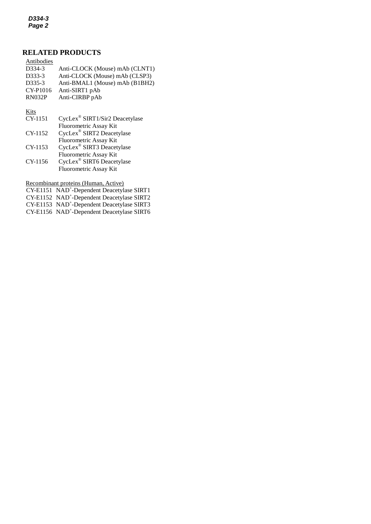*D334-3 Page 2*

# **RELATED PRODUCTS**

| Antibodies          |                                            |
|---------------------|--------------------------------------------|
| D334-3              | Anti-CLOCK (Mouse) mAb (CLNT1)             |
| D333-3              | Anti-CLOCK (Mouse) mAb (CLSP3)             |
| D <sub>335</sub> -3 | Anti-BMAL1 (Mouse) mAb (B1BH2)             |
| CY-P1016            | Anti-SIRT1 pAb                             |
| <b>RN032P</b>       | Anti-CIRBP pAb                             |
| Kits                |                                            |
| CY-1151             | CycLex <sup>®</sup> SIRT1/Sir2 Deacetylase |
|                     | Fluorometric Assay Kit                     |
| CY-1152             | CycLex <sup>®</sup> SIRT2 Deacetylase      |

|         | Fluorometric Assay Kit                |
|---------|---------------------------------------|
| CY-1153 | CycLex® SIRT3 Deacetylase             |
|         | <b>Fluorometric Assay Kit</b>         |
| CY-1156 | CycLex <sup>®</sup> SIRT6 Deacetylase |
|         | Fluorometric Assay Kit                |

Recombinant proteins (Human, Active)

CY-E1151 NAD<sup>+</sup>[-Dependent Deacetylase SIRT1](http://ruo.mbl.co.jp/dtl/P/CY-E1151/)

CY-E1152 NAD<sup>+</sup>[-Dependent Deacetylase SIRT2](http://ruo.mbl.co.jp/dtl/P/CY-E1152/)

CY-E1153 NAD<sup>+</sup>[-Dependent Deacetylase SIRT3](http://ruo.mbl.co.jp/dtl/P/CY-E1153/)

CY-E1156 NAD<sup>+</sup>-Dependent Deacetylase SIRT6